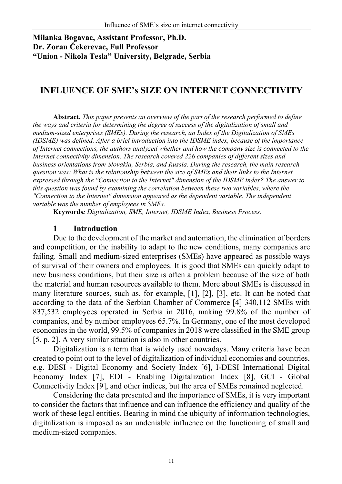## **Milanka Bogavac, Assistant Professor, Ph.D. Dr. Zoran Čekerevac, Full Professor "Union - Nikola Tesla" University, Belgrade, Serbia**

# **INFLUENCE OF SME's SIZE ON INTERNET CONNECTIVITY**

**Abstract.** *This paper presents an overview of the part of the research performed to define the ways and criteria for determining the degree of success of the digitalization of small and medium-sized enterprises (SMEs). During the research, an Index of the Digitalization of SMEs (IDSME) was defined. After a brief introduction into the IDSME index, because of the importance of Internet connections, the authors analyzed whether and how the company size is connected to the Internet connectivity dimension. The research covered 226 companies of different sizes and business orientations from Slovakia, Serbia, and Russia. During the research, the main research question was: What is the relationship between the size of SMEs and their links to the Internet expressed through the "Connection to the Internet" dimension of the IDSME index? The answer to this question was found by examining the correlation between these two variables, where the "Connection to the Internet" dimension appeared as the dependent variable. The independent variable was the number of employees in SMEs.* 

**Keywords***: Digitalization, SME, Internet, IDSME Index, Business Process*.

#### **1 Introduction**

Due to the development of the market and automation, the elimination of borders and competition, or the inability to adapt to the new conditions, many companies are failing. Small and medium-sized enterprises (SMEs) have appeared as possible ways of survival of their owners and employees. It is good that SMEs can quickly adapt to new business conditions, but their size is often a problem because of the size of both the material and human resources available to them. More about SMEs is discussed in many literature sources, such as, for example, [1], [2], [3], etc. It can be noted that according to the data of the Serbian Chamber of Commerce [4] 340,112 SMEs with 837,532 employees operated in Serbia in 2016, making 99.8% of the number of companies, and by number employees 65.7%. In Germany, one of the most developed economies in the world, 99.5% of companies in 2018 were classified in the SME group [5, p. 2]. A very similar situation is also in other countries.

Digitalization is a term that is widely used nowadays. Many criteria have been created to point out to the level of digitalization of individual economies and countries, e.g. DESI - Digital Economy and Society Index [6], I-DESI International Digital Economy Index [7], EDI - Enabling Digitalization Index [8], GCI - Global Connectivity Index [9], and other indices, but the area of SMEs remained neglected.

Considering the data presented and the importance of SMEs, it is very important to consider the factors that influence and can influence the efficiency and quality of the work of these legal entities. Bearing in mind the ubiquity of information technologies, digitalization is imposed as an undeniable influence on the functioning of small and medium-sized companies.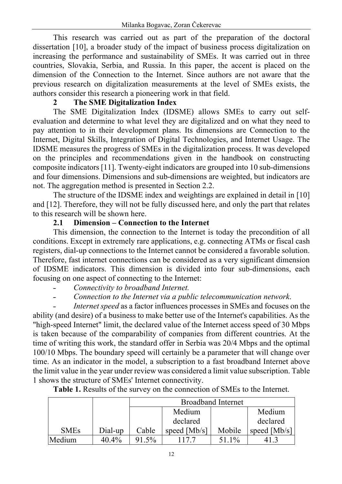This research was carried out as part of the preparation of the doctoral dissertation [10], a broader study of the impact of business process digitalization on increasing the performance and sustainability of SMEs. It was carried out in three countries, Slovakia, Serbia, and Russia. In this paper, the accent is placed on the dimension of the Connection to the Internet. Since authors are not aware that the previous research on digitalization measurements at the level of SMEs exists, the authors consider this research a pioneering work in that field.

### **2 The SME Digitalization Index**

The SME Digitalization Index (IDSME) allows SMEs to carry out selfevaluation and determine to what level they are digitalized and on what they need to pay attention to in their development plans. Its dimensions are Connection to the Internet, Digital Skills, Integration of Digital Technologies, and Internet Usage. The IDSME measures the progress of SMEs in the digitalization process. It was developed on the principles and recommendations given in the handbook on constructing composite indicators [11]. Twenty-eight indicators are grouped into 10 sub-dimensions and four dimensions. Dimensions and sub-dimensions are weighted, but indicators are not. The aggregation method is presented in Section 2.2.

The structure of the IDSME index and weightings are explained in detail in [10] and [12]. Therefore, they will not be fully discussed here, and only the part that relates to this research will be shown here.

### **2.1 Dimension – Connection to the Internet**

This dimension, the connection to the Internet is today the precondition of all conditions. Except in extremely rare applications, e.g. connecting ATMs or fiscal cash registers, dial-up connections to the Internet cannot be considered a favorable solution. Therefore, fast internet connections can be considered as a very significant dimension of IDSME indicators. This dimension is divided into four sub-dimensions, each focusing on one aspect of connecting to the Internet:

- ˗ *Connectivity to broadband Internet.*
- ˗ *Connection to the Internet via a public telecommunication network*.

˗ *Internet speed* as a factor influences processes in SMEs and focuses on the ability (and desire) of a business to make better use of the Internet's capabilities. As the "high-speed Internet" limit, the declared value of the Internet access speed of 30 Mbps is taken because of the comparability of companies from different countries. At the time of writing this work, the standard offer in Serbia was 20/4 Mbps and the optimal 100/10 Mbps. The boundary speed will certainly be a parameter that will change over time. As an indicator in the model, a subscription to a fast broadband Internet above the limit value in the year under review was considered a limit value subscription. Table 1 shows the structure of SMEs' Internet connectivity.

|             |         | <b>Broadband Internet</b> |                      |        |                |  |
|-------------|---------|---------------------------|----------------------|--------|----------------|--|
|             |         |                           | Medium               |        | Medium         |  |
|             |         |                           | declared<br>declared |        |                |  |
| <b>SMEs</b> | Dial-up | Cable                     | speed $[Mb/s]$       | Mobile | speed $[Mb/s]$ |  |
| Medium      | 40.4%   | $91.5\%$                  |                      | 51.1%  |                |  |

**Table 1.** Results of the survey on the connection of SMEs to the Internet.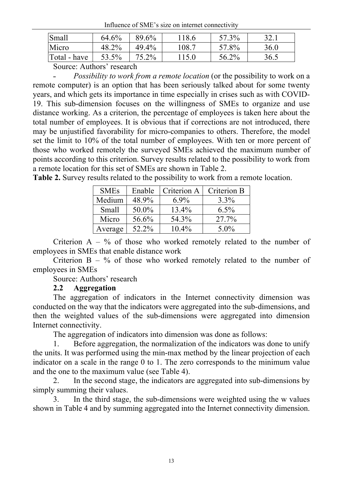Influence of SME's size on internet connectivity

| <b>Small</b> | 64.6% | 89.6% | 118.6 | 57.3% | 32.1 |
|--------------|-------|-------|-------|-------|------|
| Micro        | 48.2% | 49.4% | 108.7 | 57.8% | 36.0 |
| Total - have | 53.5% | 75.2% | 115.0 | 56.2% | 36.5 |

Source: Authors' research

˗ *Possibility to work from a remote location* (or the possibility to work on a remote computer) is an option that has been seriously talked about for some twenty years, and which gets its importance in time especially in crises such as with COVID-19. This sub-dimension focuses on the willingness of SMEs to organize and use distance working. As a criterion, the percentage of employees is taken here about the total number of employees. It is obvious that if corrections are not introduced, there may be unjustified favorability for micro-companies to others. Therefore, the model set the limit to 10% of the total number of employees. With ten or more percent of those who worked remotely the surveyed SMEs achieved the maximum number of points according to this criterion. Survey results related to the possibility to work from a remote location for this set of SMEs are shown in Table 2.

**Table 2.** Survey results related to the possibility to work from a remote location.

| <b>SMEs</b> | Enable | Criterion A | Criterion B |
|-------------|--------|-------------|-------------|
| Medium      | 48.9%  | $6.9\%$     | $3.3\%$     |
| Small       | 50.0%  | 13.4%       | $6.5\%$     |
| Micro       | 56.6%  | 54.3%       | 27.7%       |
| Average     | 52.2%  | $10.4\%$    | $5.0\%$     |

Criterion  $A - \%$  of those who worked remotely related to the number of employees in SMEs that enable distance work

Criterion  $B - \%$  of those who worked remotely related to the number of employees in SMEs

Source: Authors' research

#### **2.2 Aggregation**

The aggregation of indicators in the Internet connectivity dimension was conducted on the way that the indicators were aggregated into the sub-dimensions, and then the weighted values of the sub-dimensions were aggregated into dimension Internet connectivity.

The aggregation of indicators into dimension was done as follows:

Before aggregation, the normalization of the indicators was done to unify the units. It was performed using the min-max method by the linear projection of each indicator on a scale in the range 0 to 1. The zero corresponds to the minimum value and the one to the maximum value (see Table 4).

2. In the second stage, the indicators are aggregated into sub-dimensions by simply summing their values.

3. In the third stage, the sub-dimensions were weighted using the w values shown in Table 4 and by summing aggregated into the Internet connectivity dimension.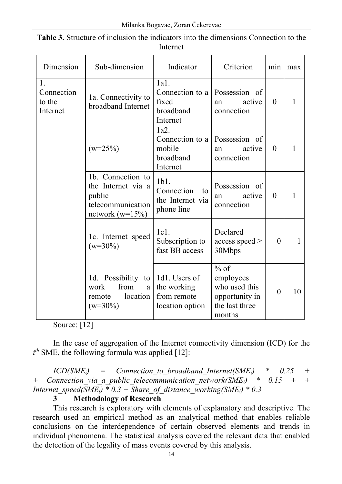| Dimension                              | Sub-dimension                                                                                  | Indicator                                                      | Criterion                                                                          | min            | max |
|----------------------------------------|------------------------------------------------------------------------------------------------|----------------------------------------------------------------|------------------------------------------------------------------------------------|----------------|-----|
| 1.<br>Connection<br>to the<br>Internet | 1a. Connectivity to<br>broadband Internet                                                      | 1a1.<br>Connection to a<br>fixed<br>broadband<br>Internet      | Possession of<br>active<br>an<br>connection                                        | $\theta$       | 1   |
|                                        | $(w=25\%)$                                                                                     | 1a2.<br>Connection to a<br>mobile<br>broadband<br>Internet     | Possession of<br>active<br>an<br>connection                                        | $\overline{0}$ | 1   |
|                                        | 1b. Connection to<br>the Internet via a<br>public<br>telecommunication<br>network ( $w=15\%$ ) | $1b1$ .<br>Connection<br>to<br>the Internet via<br>phone line  | Possession of<br>active<br>an<br>connection                                        | $\theta$       | 1   |
|                                        | 1c. Internet speed<br>$(w=30\%)$                                                               | 1c1.<br>Subscription to<br>fast BB access                      | Declared<br>access speed $\ge$<br>30Mbps                                           | $\theta$       | 1   |
|                                        | 1d. Possibility to<br>from<br>work<br>$\mathbf{a}$<br>location<br>remote<br>$(w=30\%)$         | 1d1. Users of<br>the working<br>from remote<br>location option | $%$ of<br>employees<br>who used this<br>opportunity in<br>the last three<br>months | $\theta$       | 10  |

**Table 3.** Structure of inclusion the indicators into the dimensions Connection to the Internet

Source: [12]

In the case of aggregation of the Internet connectivity dimension (ICD) for the  $i^{th}$  SME, the following formula was applied [12]:

 $ICD(SME_i)$  = Connection to broadband Internet(SME<sub>i</sub>) \* 0.25 + *+ Connection\_via\_a\_public\_telecommunication\_network(SMEi) \* 0.15 + + Internet\_speed*( $\overline{SME_i}$ ) \* 0.3 +  $\overline{Share}$  of distance working( $\overline{SME_i}$ ) \* 0.3

## **3 Methodology of Research**

This research is exploratory with elements of explanatory and descriptive. The research used an empirical method as an analytical method that enables reliable conclusions on the interdependence of certain observed elements and trends in individual phenomena. The statistical analysis covered the relevant data that enabled the detection of the legality of mass events covered by this analysis.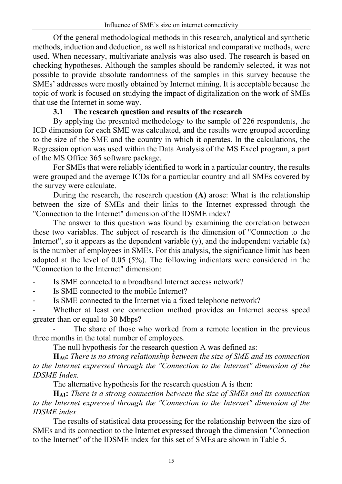Of the general methodological methods in this research, analytical and synthetic methods, induction and deduction, as well as historical and comparative methods, were used. When necessary, multivariate analysis was also used. The research is based on checking hypotheses. Although the samples should be randomly selected, it was not possible to provide absolute randomness of the samples in this survey because the SMEs' addresses were mostly obtained by Internet mining. It is acceptable because the topic of work is focused on studying the impact of digitalization on the work of SMEs that use the Internet in some way.

## **3.1 The research question and results of the research**

By applying the presented methodology to the sample of 226 respondents, the ICD dimension for each SME was calculated, and the results were grouped according to the size of the SME and the country in which it operates. In the calculations, the Regression option was used within the Data Analysis of the MS Excel program, a part of the MS Office 365 software package.

For SMEs that were reliably identified to work in a particular country, the results were grouped and the average ICDs for a particular country and all SMEs covered by the survey were calculate.

During the research, the research question **(A)** arose: What is the relationship between the size of SMEs and their links to the Internet expressed through the "Connection to the Internet" dimension of the IDSME index?

The answer to this question was found by examining the correlation between these two variables. The subject of research is the dimension of "Connection to the Internet", so it appears as the dependent variable  $(y)$ , and the independent variable  $(x)$ is the number of employees in SMEs. For this analysis, the significance limit has been adopted at the level of 0.05 (5%). The following indicators were considered in the "Connection to the Internet" dimension:

Is SME connected to a broadband Internet access network?

Is SME connected to the mobile Internet?

Is SME connected to the Internet via a fixed telephone network?

Whether at least one connection method provides an Internet access speed greater than or equal to 30 Mbps?

The share of those who worked from a remote location in the previous three months in the total number of employees.

The null hypothesis for the research question A was defined as:

**HA0:** *There is no strong relationship between the size of SME and its connection to the Internet expressed through the "Connection to the Internet" dimension of the IDSME Index.*

The alternative hypothesis for the research question A is then:

**HA1:** *There is a strong connection between the size of SMEs and its connection to the Internet expressed through the "Connection to the Internet" dimension of the IDSME index.*

The results of statistical data processing for the relationship between the size of SMEs and its connection to the Internet expressed through the dimension "Connection to the Internet" of the IDSME index for this set of SMEs are shown in Table 5.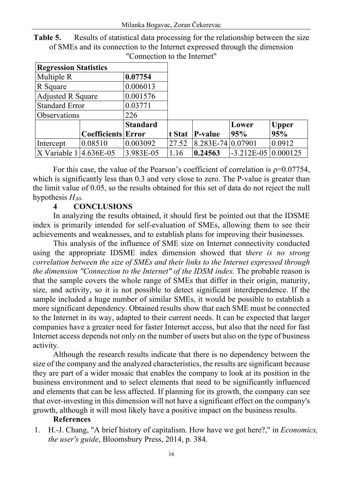| <b>Regression Statistics</b>        |                           |                 |        |                     |                              |              |
|-------------------------------------|---------------------------|-----------------|--------|---------------------|------------------------------|--------------|
| Multiple R                          |                           | 0.07754         |        |                     |                              |              |
| R Square                            |                           | 0.006013        |        |                     |                              |              |
| <b>Adjusted R Square</b>            |                           | 0.001576        |        |                     |                              |              |
| <b>Standard Error</b>               |                           | 0.03771         |        |                     |                              |              |
| Observations                        |                           | 226             |        |                     |                              |              |
|                                     |                           | <b>Standard</b> |        |                     | Lower                        | <b>Upper</b> |
|                                     | <b>Coefficients Error</b> |                 | t Stat | P-value             | 95%                          | 95%          |
| Intercept                           | 0.08510                   | 0.003092        | 27.52  | $8.283E-74 0.07901$ |                              | 0.0912       |
| $ X \text{ Variable } 1 $ 4.636E-05 |                           | 3.983E-05       | 1.16   | 0.24563             | $-3.212E - 05 \mid 0.000125$ |              |

**Table 5.** Results of statistical data processing for the relationship between the size of SMEs and its connection to the Internet expressed through the dimension "Connection to the Internet"

For this case, the value of the Pearson's coefficient of correlation is  $p=0.07754$ , which is significantly less than 0.3 and very close to zero. The P-value is greater than the limit value of 0.05, so the results obtained for this set of data do not reject the null hypothesis *HA0.*

## **4 CONCLUSIONS**

In analyzing the results obtained, it should first be pointed out that the IDSME index is primarily intended for self-evaluation of SMEs, allowing them to see their achievements and weaknesses, and to establish plans for improving their businesses.

This analysis of the influence of SME size on Internet connectivity conducted using the appropriate IDSME index dimension showed that t*here is no strong correlation between the size of SMEs and their links to the Internet expressed through the dimension "Connection to the Internet" of the IDSM index. The probable reason is* that the sample covers the whole range of SMEs that differ in their origin, maturity, size, and activity, so it is not possible to detect significant interdependence. If the sample included a huge number of similar SMEs, it would be possible to establish a more significant dependency. Obtained results show that each SME must be connected to the Internet in its way, adapted to their current needs. It can be expected that larger companies have a greater need for faster Internet access, but also that the need for fast Internet access depends not only on the number of users but also on the type of business activity.

Although the research results indicate that there is no dependency between the size of the company and the analyzed characteristics, the results are significant because they are part of a wider mosaic that enables the company to look at its position in the business environment and to select elements that need to be significantly influenced and elements that can be less affected. If planning for its growth, the company can see that over-investing in this dimension will not have a significant effect on the company's growth, although it will most likely have a positive impact on the business results.

#### **References**

1. H.-J. Chang, "A brief history of capitalism. How have we got here?," in *Economics, the user's guide*, Bloomsbury Press, 2014, p. 384.